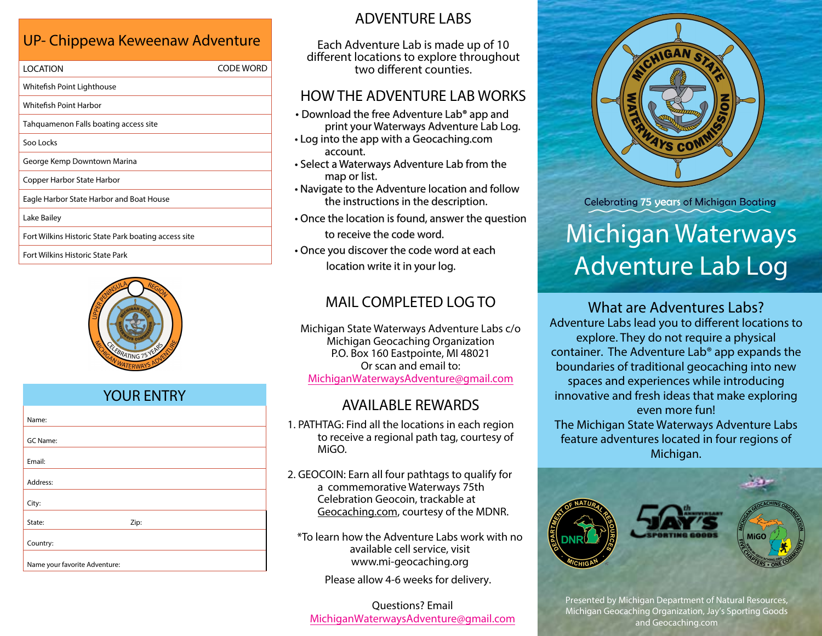# UP- Chippewa Keweenaw Adventure

| <b>LOCATION</b>                                      | CODE WORD |
|------------------------------------------------------|-----------|
| Whitefish Point Lighthouse                           |           |
| Whitefish Point Harbor                               |           |
| Tahquamenon Falls boating access site                |           |
| Soo Locks                                            |           |
| George Kemp Downtown Marina                          |           |
| Copper Harbor State Harbor                           |           |
| Eagle Harbor State Harbor and Boat House             |           |
| Lake Bailey                                          |           |
| Fort Wilkins Historic State Park boating access site |           |
|                                                      |           |

Fort Wilkins Historic State Park



### YOUR ENTRY

| Name:                         |      |
|-------------------------------|------|
| <b>GC Name:</b>               |      |
| Email:                        |      |
| Address:                      |      |
| City:                         |      |
| State:                        | Zip: |
| Country:                      |      |
| Name your favorite Adventure: |      |

# ADVENTURE LABS

Each Adventure Lab is made up of 10 different locations to explore throughout two different counties.

#### HOW THE ADVENTURE LAB WORKS

- Download the free Adventure Lab<sup>®</sup> app and print your Waterways Adventure Lab Log.
- Log into the app with a [Geocaching.com](https://Geocaching.com) account.
- Select a Waterways Adventure Lab from the map or list.
- Navigate to the Adventure location and follow the instructions in the description.
- Once the location is found, answer the question to receive the code word.
- Once you discover the code word at each location write it in your log.

# MAIL COMPLETED LOG TO

Michigan State Waterways Adventure Labs c/o Michigan Geocaching Organization P.O. Box 160 Eastpointe, MI 48021 Or scan and email to: [MichiganWaterwaysAdventure@gmail.com](mailto:MichiganWaterwaysAdventure@gmail.com)

#### AVAILABLE REWARDS

- 1. PATHTAG: Find all the locations in each region to receive a regional path tag, courtesy of MiGO.
- 2. GEOCOIN: Earn all four pathtags to qualify for a commemorative Waterways 75th Celebration Geocoin, trackable at [Geocaching.com, c](http://Geocaching.com)ourtesy of the MDNR.

\*To learn how the Adventure Labs work with no available cell service, visit <www.mi-geocaching.org>

Please allow 4-6 weeks for delivery.

Questions? Email [MichiganWaterwaysAdventure@gmail.com](mailto:MichiganWaterwaysAdventure@gmail.com)



**Celebrating 75 years of Michigan Boating** 

# Michigan Waterways Adventure Lab Log

What are Adventures Labs? Adventure Labs lead you to different locations to explore. They do not require a physical container. The Adventure Lab® app expands the boundaries of traditional geocaching into new spaces and experiences while introducing innovative and fresh ideas that make exploring even more fun! The Michigan State Waterways Adventure Labs feature adventures located in four regions of Michigan.



Presented by Michigan Department of Natural Resources, Michigan Geocaching Organization, Jay's Sporting Goods and [Geocaching.com](http://Geocaching.com)